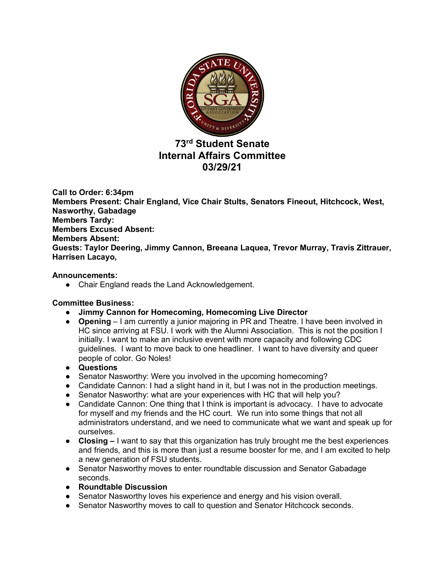

# **73rd Student Senate Internal Affairs Committee 03/29/21**

**Call to Order: 6:34pm Members Present: Chair England, Vice Chair Stults, Senators Fineout, Hitchcock, West, Nasworthy, Gabadage Members Tardy: Members Excused Absent: Members Absent: Guests: Taylor Deering, Jimmy Cannon, Breeana Laquea, Trevor Murray, Travis Zittrauer, Harrisen Lacayo,** 

## **Announcements:**

● Chair England reads the Land Acknowledgement.

## **Committee Business:**

- **Jimmy Cannon for Homecoming, Homecoming Live Director**
- **Opening** I am currently a junior majoring in PR and Theatre. I have been involved in HC since arriving at FSU. I work with the Alumni Association. This is not the position I initially. I want to make an inclusive event with more capacity and following CDC guidelines. I want to move back to one headliner. I want to have diversity and queer people of color. Go Noles!
- **Questions**
- Senator Nasworthy: Were you involved in the upcoming homecoming?
- Candidate Cannon: I had a slight hand in it, but I was not in the production meetings.
- Senator Nasworthy: what are your experiences with HC that will help you?
- Candidate Cannon: One thing that I think is important is advocacy. I have to advocate for myself and my friends and the HC court. We run into some things that not all administrators understand, and we need to communicate what we want and speak up for ourselves.
- **Closing** I want to say that this organization has truly brought me the best experiences and friends, and this is more than just a resume booster for me, and I am excited to help a new generation of FSU students.
- Senator Nasworthy moves to enter roundtable discussion and Senator Gabadage seconds.
- **Roundtable Discussion**
- Senator Nasworthy loves his experience and energy and his vision overall.
- Senator Nasworthy moves to call to question and Senator Hitchcock seconds.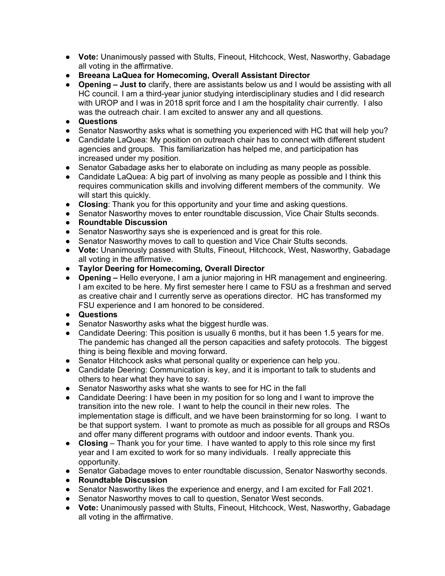- **Vote:** Unanimously passed with Stults, Fineout, Hitchcock, West, Nasworthy, Gabadage all voting in the affirmative.
- **Breeana LaQuea for Homecoming, Overall Assistant Director**
- **Opening – Just to** clarify, there are assistants below us and I would be assisting with all HC council. I am a third-year junior studying interdisciplinary studies and I did research with UROP and I was in 2018 sprit force and I am the hospitality chair currently. I also was the outreach chair. I am excited to answer any and all questions.
- **Questions**
- Senator Nasworthy asks what is something you experienced with HC that will help you?
- Candidate LaQuea: My position on outreach chair has to connect with different student agencies and groups. This familiarization has helped me, and participation has increased under my position.
- Senator Gabadage asks her to elaborate on including as many people as possible.
- Candidate LaQuea: A big part of involving as many people as possible and I think this requires communication skills and involving different members of the community. We will start this quickly.
- **Closing**: Thank you for this opportunity and your time and asking questions.
- Senator Nasworthy moves to enter roundtable discussion, Vice Chair Stults seconds.
- **Roundtable Discussion**
- Senator Nasworthy says she is experienced and is great for this role.
- Senator Nasworthy moves to call to question and Vice Chair Stults seconds.
- **Vote:** Unanimously passed with Stults, Fineout, Hitchcock, West, Nasworthy, Gabadage all voting in the affirmative.
- **Taylor Deering for Homecoming, Overall Director**
- **Opening –** Hello everyone, I am a junior majoring in HR management and engineering. I am excited to be here. My first semester here I came to FSU as a freshman and served as creative chair and I currently serve as operations director. HC has transformed my FSU experience and I am honored to be considered.
- **Questions**
- Senator Nasworthy asks what the biggest hurdle was.
- Candidate Deering: This position is usually 6 months, but it has been 1.5 years for me. The pandemic has changed all the person capacities and safety protocols. The biggest thing is being flexible and moving forward.
- Senator Hitchcock asks what personal quality or experience can help you.
- Candidate Deering: Communication is key, and it is important to talk to students and others to hear what they have to say.
- Senator Nasworthy asks what she wants to see for HC in the fall
- Candidate Deering: I have been in my position for so long and I want to improve the transition into the new role. I want to help the council in their new roles. The implementation stage is difficult, and we have been brainstorming for so long. I want to be that support system. I want to promote as much as possible for all groups and RSOs and offer many different programs with outdoor and indoor events. Thank you.
- **Closing**  Thank you for your time. I have wanted to apply to this role since my first year and I am excited to work for so many individuals. I really appreciate this opportunity.
- Senator Gabadage moves to enter roundtable discussion, Senator Nasworthy seconds.
- **Roundtable Discussion**
- Senator Nasworthy likes the experience and energy, and I am excited for Fall 2021.
- Senator Nasworthy moves to call to question, Senator West seconds.
- **Vote:** Unanimously passed with Stults, Fineout, Hitchcock, West, Nasworthy, Gabadage all voting in the affirmative.